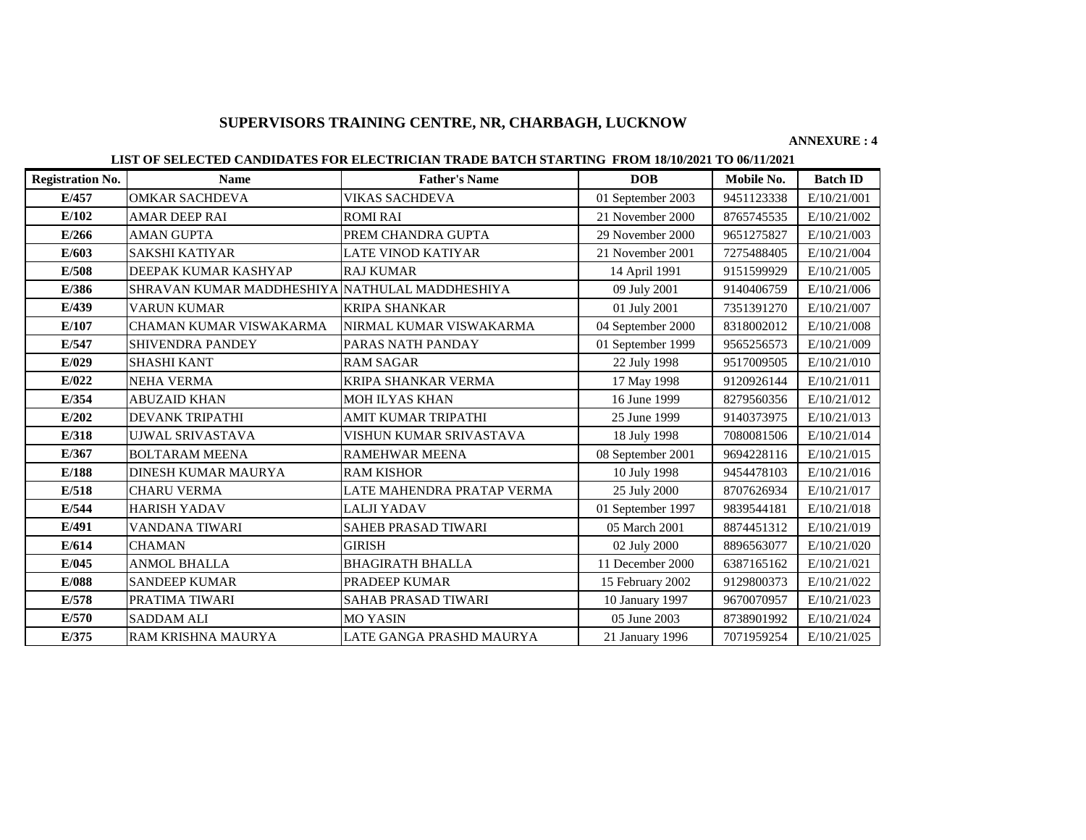# **SUPERVISORS TRAINING CENTRE, NR, CHARBAGH, LUCKNOW**

### **ANNEXURE : 4**

## **LIST OF SELECTED CANDIDATES FOR ELECTRICIAN TRADE BATCH STARTING FROM 18/10/2021 TO 06/11/2021**

| <b>Registration No.</b> | <b>Name</b>                                    | <b>Father's Name</b>       | <b>DOB</b>        | Mobile No. | <b>Batch ID</b> |
|-------------------------|------------------------------------------------|----------------------------|-------------------|------------|-----------------|
| E/457                   | <b>OMKAR SACHDEVA</b>                          | VIKAS SACHDEVA             | 01 September 2003 | 9451123338 | E/10/21/001     |
| E/102                   | <b>AMAR DEEP RAI</b>                           | <b>ROMI RAI</b>            | 21 November 2000  | 8765745535 | E/10/21/002     |
| E/266                   | <b>AMAN GUPTA</b>                              | PREM CHANDRA GUPTA         | 29 November 2000  | 9651275827 | E/10/21/003     |
| E/603                   | <b>SAKSHI KATIYAR</b>                          | LATE VINOD KATIYAR         | 21 November 2001  | 7275488405 | E/10/21/004     |
| E/508                   | DEEPAK KUMAR KASHYAP                           | <b>RAJ KUMAR</b>           | 14 April 1991     | 9151599929 | E/10/21/005     |
| E/386                   | SHRAVAN KUMAR MADDHESHIYA NATHULAL MADDHESHIYA |                            | 09 July 2001      | 9140406759 | E/10/21/006     |
| E/439                   | VARUN KUMAR                                    | <b>KRIPA SHANKAR</b>       | 01 July 2001      | 7351391270 | E/10/21/007     |
| E/107                   | CHAMAN KUMAR VISWAKARMA                        | NIRMAL KUMAR VISWAKARMA    | 04 September 2000 | 8318002012 | E/10/21/008     |
| E/547                   | SHIVENDRA PANDEY                               | PARAS NATH PANDAY          | 01 September 1999 | 9565256573 | E/10/21/009     |
| E/029                   | <b>SHASHI KANT</b>                             | <b>RAM SAGAR</b>           | 22 July 1998      | 9517009505 | E/10/21/010     |
| E/022                   | <b>NEHA VERMA</b>                              | KRIPA SHANKAR VERMA        | 17 May 1998       | 9120926144 | E/10/21/011     |
| E/354                   | <b>ABUZAID KHAN</b>                            | MOH ILYAS KHAN             | 16 June 1999      | 8279560356 | E/10/21/012     |
| E/202                   | <b>DEVANK TRIPATHI</b>                         | AMIT KUMAR TRIPATHI        | 25 June 1999      | 9140373975 | E/10/21/013     |
| E/318                   | UJWAL SRIVASTAVA                               | VISHUN KUMAR SRIVASTAVA    | 18 July 1998      | 7080081506 | E/10/21/014     |
| E/367                   | <b>BOLTARAM MEENA</b>                          | RAMEHWAR MEENA             | 08 September 2001 | 9694228116 | E/10/21/015     |
| E/188                   | DINESH KUMAR MAURYA                            | <b>RAM KISHOR</b>          | 10 July 1998      | 9454478103 | E/10/21/016     |
| E/518                   | <b>CHARU VERMA</b>                             | LATE MAHENDRA PRATAP VERMA | 25 July 2000      | 8707626934 | E/10/21/017     |
| E/544                   | <b>HARISH YADAV</b>                            | LALJI YADAV                | 01 September 1997 | 9839544181 | E/10/21/018     |
| E/491                   | VANDANA TIWARI                                 | <b>SAHEB PRASAD TIWARI</b> | 05 March 2001     | 8874451312 | E/10/21/019     |
| E/614                   | <b>CHAMAN</b>                                  | <b>GIRISH</b>              | 02 July 2000      | 8896563077 | E/10/21/020     |
| E/045                   | <b>ANMOL BHALLA</b>                            | <b>BHAGIRATH BHALLA</b>    | 11 December 2000  | 6387165162 | E/10/21/021     |
| E/088                   | <b>SANDEEP KUMAR</b>                           | PRADEEP KUMAR              | 15 February 2002  | 9129800373 | E/10/21/022     |
| E/578                   | PRATIMA TIWARI                                 | SAHAB PRASAD TIWARI        | 10 January 1997   | 9670070957 | E/10/21/023     |
| E/570                   | <b>SADDAM ALI</b>                              | <b>MO YASIN</b>            | 05 June 2003      | 8738901992 | E/10/21/024     |
| E/375                   | RAM KRISHNA MAURYA                             | LATE GANGA PRASHD MAURYA   | 21 January 1996   | 7071959254 | E/10/21/025     |